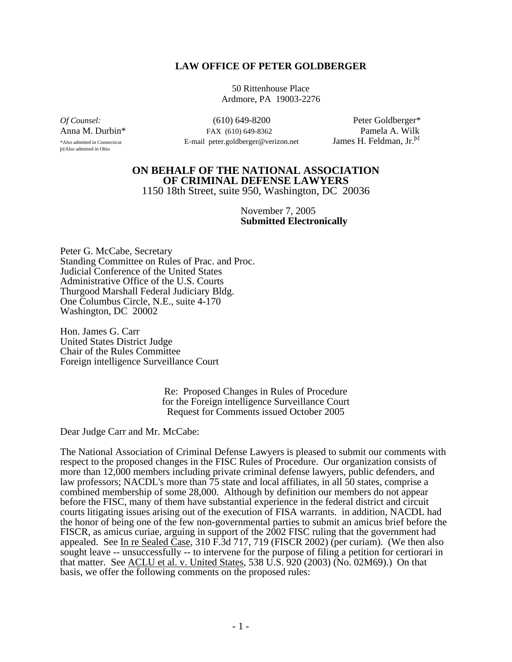#### **LAW OFFICE OF PETER GOLDBERGER**

50 Rittenhouse Place Ardmore, PA 19003-2276

þ‡Also admitted in Ohio

*Of Counsel:* (610) 649-8200 Peter Goldberger\* Anna M. Durbin\* FAX (610) 649-8362 Pamela A. Wilk \*Also admitted in Connecticut E-mail peter.goldberger@verizon.net James H. Feldman, Jr.<sup>þ‡</sup>

# **ON BEHALF OF THE NATIONAL ASSOCIATION OF CRIMINAL DEFENSE LAWYERS**

1150 18th Street, suite 950, Washington, DC 20036

 November 7, 2005 **Submitted Electronically** 

Peter G. McCabe, Secretary Standing Committee on Rules of Prac. and Proc. Judicial Conference of the United States Administrative Office of the U.S. Courts Thurgood Marshall Federal Judiciary Bldg. One Columbus Circle, N.E., suite 4-170 Washington, DC 20002

Hon. James G. Carr United States District Judge Chair of the Rules Committee Foreign intelligence Surveillance Court

> Re: Proposed Changes in Rules of Procedure for the Foreign intelligence Surveillance Court Request for Comments issued October 2005

Dear Judge Carr and Mr. McCabe:

The National Association of Criminal Defense Lawyers is pleased to submit our comments with respect to the proposed changes in the FISC Rules of Procedure. Our organization consists of more than 12,000 members including private criminal defense lawyers, public defenders, and law professors; NACDL's more than 75 state and local affiliates, in all 50 states, comprise a combined membership of some 28,000. Although by definition our members do not appear before the FISC, many of them have substantial experience in the federal district and circuit courts litigating issues arising out of the execution of FISA warrants. in addition, NACDL had the honor of being one of the few non-governmental parties to submit an amicus brief before the FISCR, as amicus curiae, arguing in support of the 2002 FISC ruling that the government had appealed. See In re Sealed Case, 310 F.3d 717, 719 (FISCR 2002) (per curiam). (We then also sought leave -- unsuccessfully -- to intervene for the purpose of filing a petition for certiorari in that matter. See ACLU et al. v. United States, 538 U.S. 920 (2003) (No. 02M69).) On that basis, we offer the following comments on the proposed rules: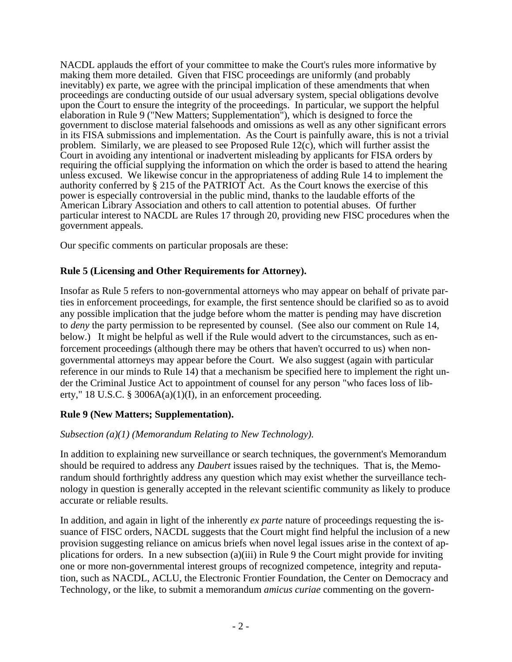NACDL applauds the effort of your committee to make the Court's rules more informative by making them more detailed. Given that FISC proceedings are uniformly (and probably inevitably) ex parte, we agree with the principal implication of these amendments that when proceedings are conducting outside of our usual adversary system, special obligations devolve upon the Court to ensure the integrity of the proceedings. In particular, we support the helpful elaboration in Rule 9 ("New Matters; Supplementation"), which is designed to force the government to disclose material falsehoods and omissions as well as any other significant errors in its FISA submissions and implementation. As the Court is painfully aware, this is not a trivial problem. Similarly, we are pleased to see Proposed Rule 12(c), which will further assist the Court in avoiding any intentional or inadvertent misleading by applicants for FISA orders by requiring the official supplying the information on which the order is based to attend the hearing unless excused. We likewise concur in the appropriateness of adding Rule 14 to implement the authority conferred by § 215 of the PATRIOT Act. As the Court knows the exercise of this power is especially controversial in the public mind, thanks to the laudable efforts of the American Library Association and others to call attention to potential abuses. Of further particular interest to NACDL are Rules 17 through 20, providing new FISC procedures when the government appeals.

Our specific comments on particular proposals are these:

## **Rule 5 (Licensing and Other Requirements for Attorney).**

Insofar as Rule 5 refers to non-governmental attorneys who may appear on behalf of private parties in enforcement proceedings, for example, the first sentence should be clarified so as to avoid any possible implication that the judge before whom the matter is pending may have discretion to *deny* the party permission to be represented by counsel. (See also our comment on Rule 14, below.) It might be helpful as well if the Rule would advert to the circumstances, such as enforcement proceedings (although there may be others that haven't occurred to us) when nongovernmental attorneys may appear before the Court. We also suggest (again with particular reference in our minds to Rule 14) that a mechanism be specified here to implement the right under the Criminal Justice Act to appointment of counsel for any person "who faces loss of liberty," 18 U.S.C. § 3006A(a)(1)(I), in an enforcement proceeding.

## **Rule 9 (New Matters; Supplementation).**

## *Subsection (a)(1) (Memorandum Relating to New Technology).*

In addition to explaining new surveillance or search techniques, the government's Memorandum should be required to address any *Daubert* issues raised by the techniques. That is, the Memorandum should forthrightly address any question which may exist whether the surveillance technology in question is generally accepted in the relevant scientific community as likely to produce accurate or reliable results.

In addition, and again in light of the inherently *ex parte* nature of proceedings requesting the issuance of FISC orders, NACDL suggests that the Court might find helpful the inclusion of a new provision suggesting reliance on amicus briefs when novel legal issues arise in the context of applications for orders. In a new subsection (a)(iii) in Rule 9 the Court might provide for inviting one or more non-governmental interest groups of recognized competence, integrity and reputation, such as NACDL, ACLU, the Electronic Frontier Foundation, the Center on Democracy and Technology, or the like, to submit a memorandum *amicus curiae* commenting on the govern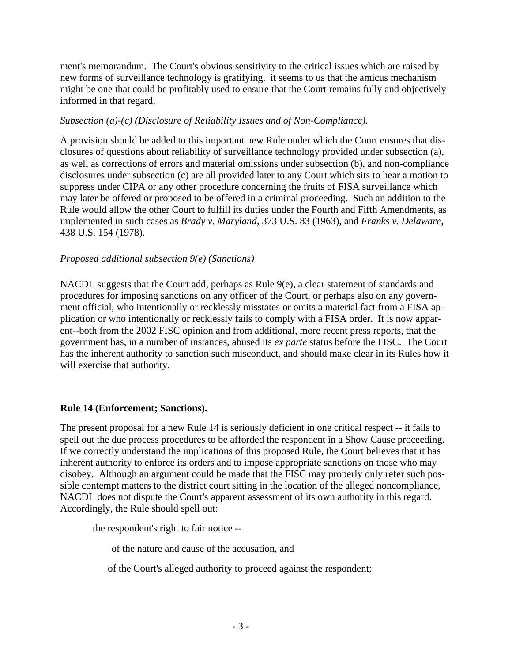ment's memorandum. The Court's obvious sensitivity to the critical issues which are raised by new forms of surveillance technology is gratifying. it seems to us that the amicus mechanism might be one that could be profitably used to ensure that the Court remains fully and objectively informed in that regard.

#### *Subsection (a)-(c) (Disclosure of Reliability Issues and of Non-Compliance).*

A provision should be added to this important new Rule under which the Court ensures that disclosures of questions about reliability of surveillance technology provided under subsection (a), as well as corrections of errors and material omissions under subsection (b), and non-compliance disclosures under subsection (c) are all provided later to any Court which sits to hear a motion to suppress under CIPA or any other procedure concerning the fruits of FISA surveillance which may later be offered or proposed to be offered in a criminal proceeding. Such an addition to the Rule would allow the other Court to fulfill its duties under the Fourth and Fifth Amendments, as implemented in such cases as *Brady v. Maryland*, 373 U.S. 83 (1963), and *Franks v. Delaware*, 438 U.S. 154 (1978).

#### *Proposed additional subsection 9(e) (Sanctions)*

NACDL suggests that the Court add, perhaps as Rule 9(e), a clear statement of standards and procedures for imposing sanctions on any officer of the Court, or perhaps also on any government official, who intentionally or recklessly misstates or omits a material fact from a FISA application or who intentionally or recklessly fails to comply with a FISA order. It is now apparent--both from the 2002 FISC opinion and from additional, more recent press reports, that the government has, in a number of instances, abused its *ex parte* status before the FISC. The Court has the inherent authority to sanction such misconduct, and should make clear in its Rules how it will exercise that authority.

#### **Rule 14 (Enforcement; Sanctions).**

The present proposal for a new Rule 14 is seriously deficient in one critical respect -- it fails to spell out the due process procedures to be afforded the respondent in a Show Cause proceeding. If we correctly understand the implications of this proposed Rule, the Court believes that it has inherent authority to enforce its orders and to impose appropriate sanctions on those who may disobey. Although an argument could be made that the FISC may properly only refer such possible contempt matters to the district court sitting in the location of the alleged noncompliance, NACDL does not dispute the Court's apparent assessment of its own authority in this regard. Accordingly, the Rule should spell out:

the respondent's right to fair notice --

of the nature and cause of the accusation, and

of the Court's alleged authority to proceed against the respondent;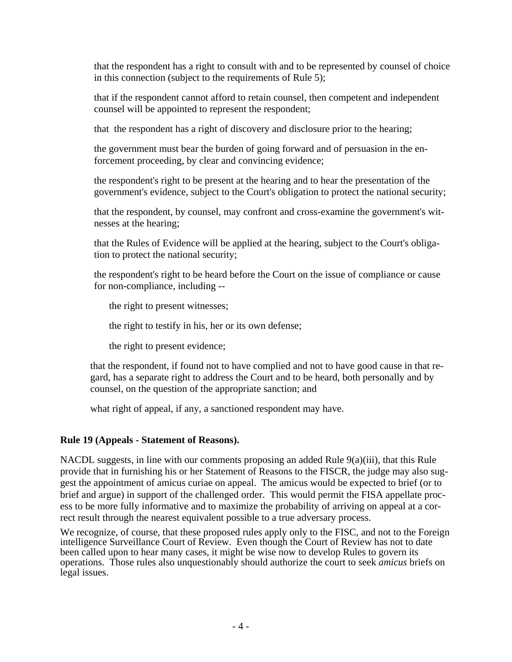that the respondent has a right to consult with and to be represented by counsel of choice in this connection (subject to the requirements of Rule 5);

that if the respondent cannot afford to retain counsel, then competent and independent counsel will be appointed to represent the respondent;

that the respondent has a right of discovery and disclosure prior to the hearing;

the government must bear the burden of going forward and of persuasion in the enforcement proceeding, by clear and convincing evidence;

the respondent's right to be present at the hearing and to hear the presentation of the government's evidence, subject to the Court's obligation to protect the national security;

that the respondent, by counsel, may confront and cross-examine the government's witnesses at the hearing;

that the Rules of Evidence will be applied at the hearing, subject to the Court's obligation to protect the national security;

the respondent's right to be heard before the Court on the issue of compliance or cause for non-compliance, including --

the right to present witnesses;

the right to testify in his, her or its own defense;

the right to present evidence;

that the respondent, if found not to have complied and not to have good cause in that regard, has a separate right to address the Court and to be heard, both personally and by counsel, on the question of the appropriate sanction; and

what right of appeal, if any, a sanctioned respondent may have.

#### **Rule 19 (Appeals - Statement of Reasons).**

NACDL suggests, in line with our comments proposing an added Rule  $9(a)(iii)$ , that this Rule provide that in furnishing his or her Statement of Reasons to the FISCR, the judge may also suggest the appointment of amicus curiae on appeal. The amicus would be expected to brief (or to brief and argue) in support of the challenged order. This would permit the FISA appellate process to be more fully informative and to maximize the probability of arriving on appeal at a correct result through the nearest equivalent possible to a true adversary process.

We recognize, of course, that these proposed rules apply only to the FISC, and not to the Foreign intelligence Surveillance Court of Review. Even though the Court of Review has not to date been called upon to hear many cases, it might be wise now to develop Rules to govern its operations. Those rules also unquestionably should authorize the court to seek *amicus* briefs on legal issues.